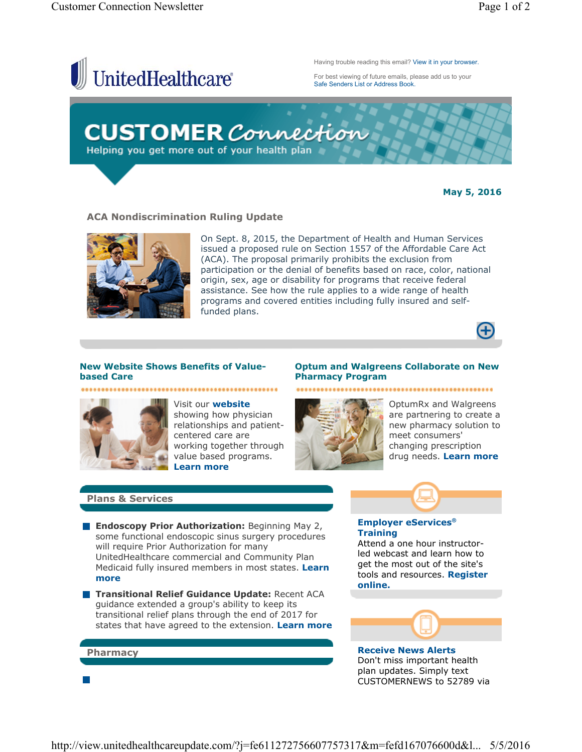

**May 5, 2016**

### **ACA Nondiscrimination Ruling Update**



On Sept. 8, 2015, the Department of Health and Human Services issued a proposed rule on Section 1557 of the Affordable Care Act (ACA). The proposal primarily prohibits the exclusion from participation or the denial of benefits based on race, color, national origin, sex, age or disability for programs that receive federal assistance. See how the rule applies to a wide range of health programs and covered entities including fully insured and selffunded plans.



## **New Website Shows Benefits of Valuebased Care**



Visit our **website** showing how physician relationships and patientcentered care are working together through value based programs. **Learn more**

### **Optum and Walgreens Collaborate on New Pharmacy Program**

**Employer eServices®**

Attend a one hour instructorled webcast and learn how to get the most out of the site's tools and resources. **Register** 



OptumRx and Walgreens are partnering to create a new pharmacy solution to meet consumers' changing prescription drug needs. **Learn more**

......................

### **Plans & Services**

**Pharmacy**

 $\mathbb{R}^n$ 

- **Endoscopy Prior Authorization:** Beginning May 2, some functional endoscopic sinus surgery procedures will require Prior Authorization for many UnitedHealthcare commercial and Community Plan Medicaid fully insured members in most states. **Learn more**
- **Transitional Relief Guidance Update: Recent ACA** guidance extended a group's ability to keep its transitional relief plans through the end of 2017 for states that have agreed to the extension. **Learn more**



**Training**

**online.**

**Receive News Alerts** Don't miss important health plan updates. Simply text CUSTOMERNEWS to 52789 via